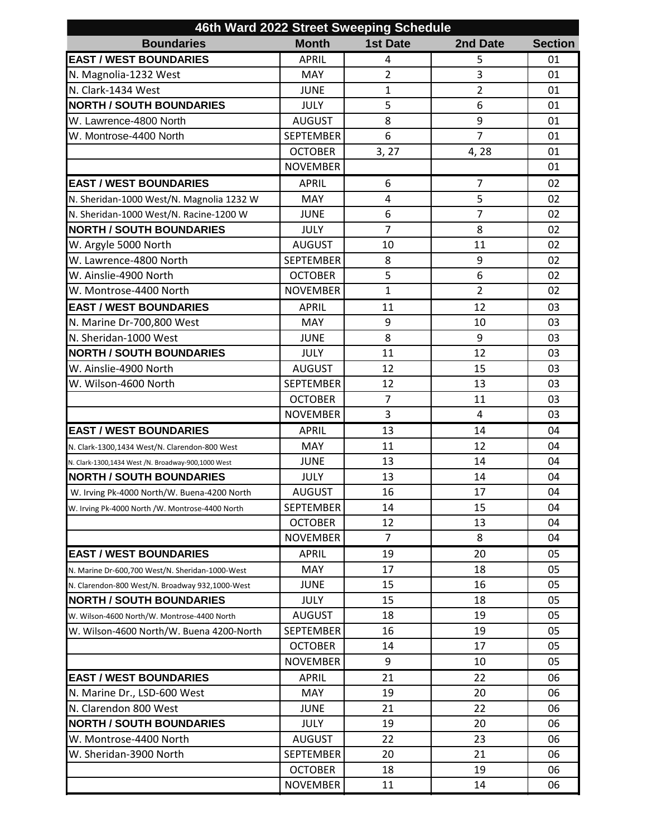| 46th Ward 2022 Street Sweeping Schedule            |                  |                 |                |                |  |  |  |
|----------------------------------------------------|------------------|-----------------|----------------|----------------|--|--|--|
| <b>Boundaries</b>                                  | <b>Month</b>     | <b>1st Date</b> | 2nd Date       | <b>Section</b> |  |  |  |
| <b>EAST / WEST BOUNDARIES</b>                      | <b>APRIL</b>     | 4               | 5              | 01             |  |  |  |
| N. Magnolia-1232 West                              | <b>MAY</b>       | $\overline{2}$  | 3              | 01             |  |  |  |
| N. Clark-1434 West                                 | <b>JUNE</b>      | $\mathbf{1}$    | $\overline{2}$ | 01             |  |  |  |
| <b>NORTH / SOUTH BOUNDARIES</b>                    | <b>JULY</b>      | 5               | 6              | 01             |  |  |  |
| W. Lawrence-4800 North                             | <b>AUGUST</b>    | 8               | 9              | 01             |  |  |  |
| W. Montrose-4400 North                             | <b>SEPTEMBER</b> | 6               | $\overline{7}$ | 01             |  |  |  |
|                                                    | <b>OCTOBER</b>   | 3, 27           | 4,28           | 01             |  |  |  |
|                                                    | <b>NOVEMBER</b>  |                 |                | 01             |  |  |  |
| <b>EAST / WEST BOUNDARIES</b>                      | <b>APRIL</b>     | 6               | $\overline{7}$ | 02             |  |  |  |
| N. Sheridan-1000 West/N. Magnolia 1232 W           | <b>MAY</b>       | 4               | 5              | 02             |  |  |  |
| N. Sheridan-1000 West/N. Racine-1200 W             | <b>JUNE</b>      | 6               | $\overline{7}$ | 02             |  |  |  |
| <b>NORTH / SOUTH BOUNDARIES</b>                    | <b>JULY</b>      | $\overline{7}$  | 8              | 02             |  |  |  |
| W. Argyle 5000 North                               | <b>AUGUST</b>    | 10              | 11             | 02             |  |  |  |
| W. Lawrence-4800 North                             | <b>SEPTEMBER</b> | 8               | 9              | 02             |  |  |  |
| W. Ainslie-4900 North                              | <b>OCTOBER</b>   | 5               | 6              | 02             |  |  |  |
| W. Montrose-4400 North                             | <b>NOVEMBER</b>  | $\mathbf{1}$    | $\overline{2}$ | 02             |  |  |  |
| <b>EAST / WEST BOUNDARIES</b>                      | <b>APRIL</b>     | 11              | 12             | 03             |  |  |  |
| N. Marine Dr-700,800 West                          | <b>MAY</b>       | 9               | 10             | 03             |  |  |  |
| N. Sheridan-1000 West                              | <b>JUNE</b>      | 8               | 9              | 03             |  |  |  |
| <b>NORTH / SOUTH BOUNDARIES</b>                    | <b>JULY</b>      | 11              | 12             | 03             |  |  |  |
| W. Ainslie-4900 North                              | <b>AUGUST</b>    | 12              | 15             | 03             |  |  |  |
| W. Wilson-4600 North                               | <b>SEPTEMBER</b> | 12              | 13             | 03             |  |  |  |
|                                                    | <b>OCTOBER</b>   | $\overline{7}$  | 11             | 03             |  |  |  |
|                                                    | <b>NOVEMBER</b>  | 3               | 4              | 03             |  |  |  |
| <b>EAST / WEST BOUNDARIES</b>                      | <b>APRIL</b>     | 13              | 14             | 04             |  |  |  |
| N. Clark-1300,1434 West/N. Clarendon-800 West      | MAY              | 11              | 12             | 04             |  |  |  |
| N. Clark-1300,1434 West /N. Broadway-900,1000 West | <b>JUNE</b>      | 13              | 14             | 04             |  |  |  |
| <b>NORTH / SOUTH BOUNDARIES</b>                    | JULY             | 13              | 14             | 04             |  |  |  |
| W. Irving Pk-4000 North/W. Buena-4200 North        | <b>AUGUST</b>    | 16              | 17             | 04             |  |  |  |
| W. Irving Pk-4000 North /W. Montrose-4400 North    | <b>SEPTEMBER</b> | 14              | 15             | 04             |  |  |  |
|                                                    | <b>OCTOBER</b>   | 12              | 13             | 04             |  |  |  |
|                                                    | <b>NOVEMBER</b>  | $\overline{7}$  | 8              | 04             |  |  |  |
| <b>EAST / WEST BOUNDARIES</b>                      | <b>APRIL</b>     | 19              | 20             | 05             |  |  |  |
| N. Marine Dr-600,700 West/N. Sheridan-1000-West    | MAY              | 17              | 18             | 05             |  |  |  |
| N. Clarendon-800 West/N. Broadway 932,1000-West    | <b>JUNE</b>      | 15              | 16             | 05             |  |  |  |
| <b>NORTH / SOUTH BOUNDARIES</b>                    | <b>JULY</b>      | 15              | 18             | 05             |  |  |  |
| W. Wilson-4600 North/W. Montrose-4400 North        | <b>AUGUST</b>    | 18              | 19             | 05             |  |  |  |
| W. Wilson-4600 North/W. Buena 4200-North           | <b>SEPTEMBER</b> | 16              | 19             | 05             |  |  |  |
|                                                    | <b>OCTOBER</b>   | 14              | 17             | 05             |  |  |  |
|                                                    | <b>NOVEMBER</b>  | 9               | 10             | 05             |  |  |  |
| <b>EAST / WEST BOUNDARIES</b>                      | <b>APRIL</b>     | 21              | 22             | 06             |  |  |  |
| N. Marine Dr., LSD-600 West                        | <b>MAY</b>       | 19              | 20             | 06             |  |  |  |
| N. Clarendon 800 West                              | <b>JUNE</b>      | 21              | 22             | 06             |  |  |  |
| <b>NORTH / SOUTH BOUNDARIES</b>                    | <b>JULY</b>      | 19              | 20             | 06             |  |  |  |
| W. Montrose-4400 North                             | <b>AUGUST</b>    | 22              | 23             | 06             |  |  |  |
| W. Sheridan-3900 North                             | <b>SEPTEMBER</b> | 20              | 21             | 06             |  |  |  |
|                                                    | <b>OCTOBER</b>   | 18              | 19             | 06             |  |  |  |
|                                                    | <b>NOVEMBER</b>  | 11              | 14             | 06             |  |  |  |
|                                                    |                  |                 |                |                |  |  |  |